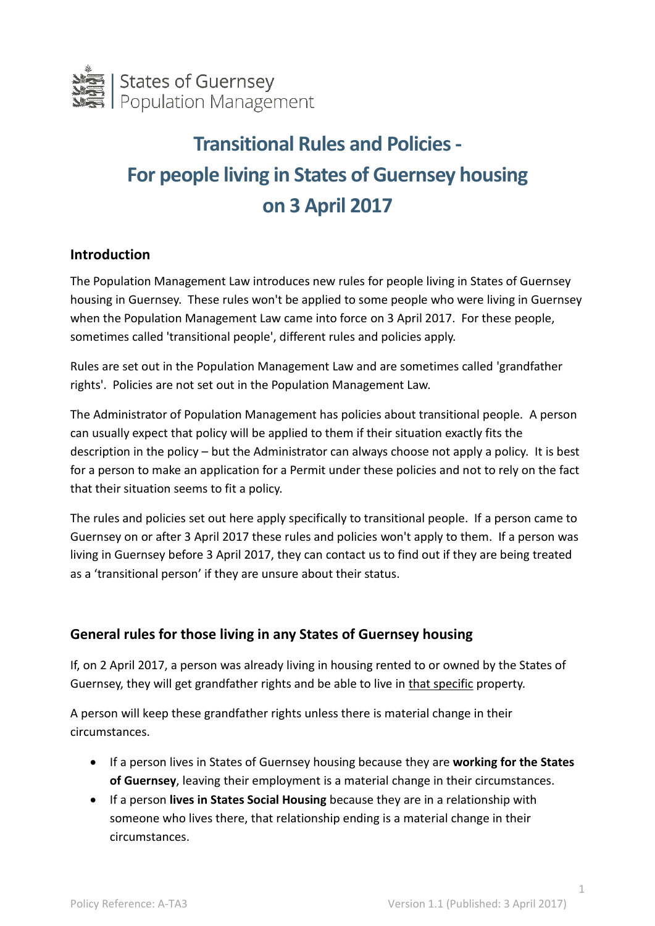

# **Transitional Rules and Policies - For people living in States of Guernsey housing on 3 April 2017**

## **Introduction**

The Population Management Law introduces new rules for people living in States of Guernsey housing in Guernsey. These rules won't be applied to some people who were living in Guernsey when the Population Management Law came into force on 3 April 2017. For these people, sometimes called 'transitional people', different rules and policies apply.

Rules are set out in the Population Management Law and are sometimes called 'grandfather rights'. Policies are not set out in the Population Management Law.

The Administrator of Population Management has policies about transitional people. A person can usually expect that policy will be applied to them if their situation exactly fits the description in the policy – but the Administrator can always choose not apply a policy. It is best for a person to make an application for a Permit under these policies and not to rely on the fact that their situation seems to fit a policy.

The rules and policies set out here apply specifically to transitional people. If a person came to Guernsey on or after 3 April 2017 these rules and policies won't apply to them. If a person was living in Guernsey before 3 April 2017, they can contact us to find out if they are being treated as a 'transitional person' if they are unsure about their status.

## **General rules for those living in any States of Guernsey housing**

If, on 2 April 2017, a person was already living in housing rented to or owned by the States of Guernsey, they will get grandfather rights and be able to live in that specific property.

A person will keep these grandfather rights unless there is material change in their circumstances.

- If a person lives in States of Guernsey housing because they are **working for the States of Guernsey**, leaving their employment is a material change in their circumstances.
- If a person **lives in States Social Housing** because they are in a relationship with someone who lives there, that relationship ending is a material change in their circumstances.

1